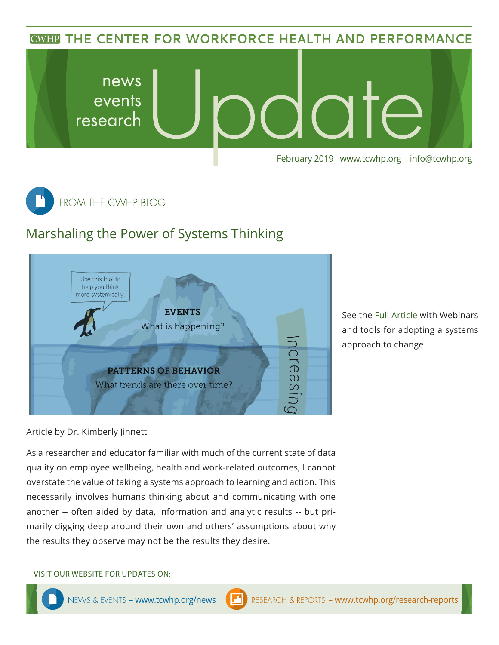**CWHP THE CENTER FOR WORKFORCE HEALTH AND PERFORMANCE** 





## Marshaling the Power of Systems Thinking



See the [Full Article](https://www.tcwhp.org/blogposts/marshaling-power-systems-thinking-sustainable-change) with Webinars and tools for adopting a systems approach to change.

Article by Dr. Kimberly Jinnett

As a researcher and educator familiar with much of the current state of data quality on employee wellbeing, health and work-related outcomes, I cannot overstate the value of taking a systems approach to learning and action. This necessarily involves humans thinking about and communicating with one another -- often aided by data, information and analytic results -- but primarily digging deep around their own and others' assumptions about why the results they observe may not be the results they desire.

VISIT OUR WEBSITE FOR UPDATES ON: